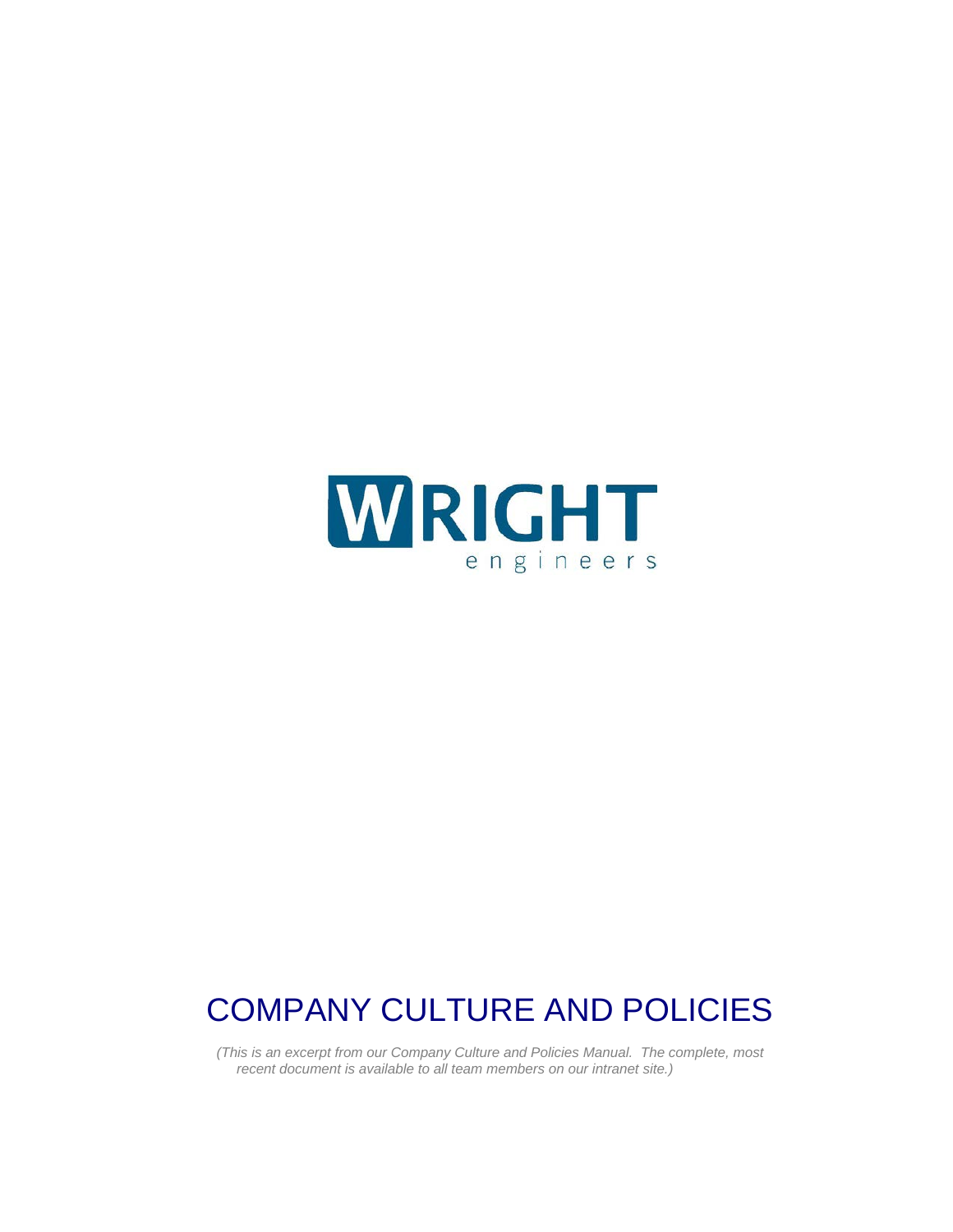

# COMPANY CULTURE AND POLICIES

*(This is an excerpt from our Company Culture and Policies Manual. The complete, most recent document is available to all team members on our intranet site.)*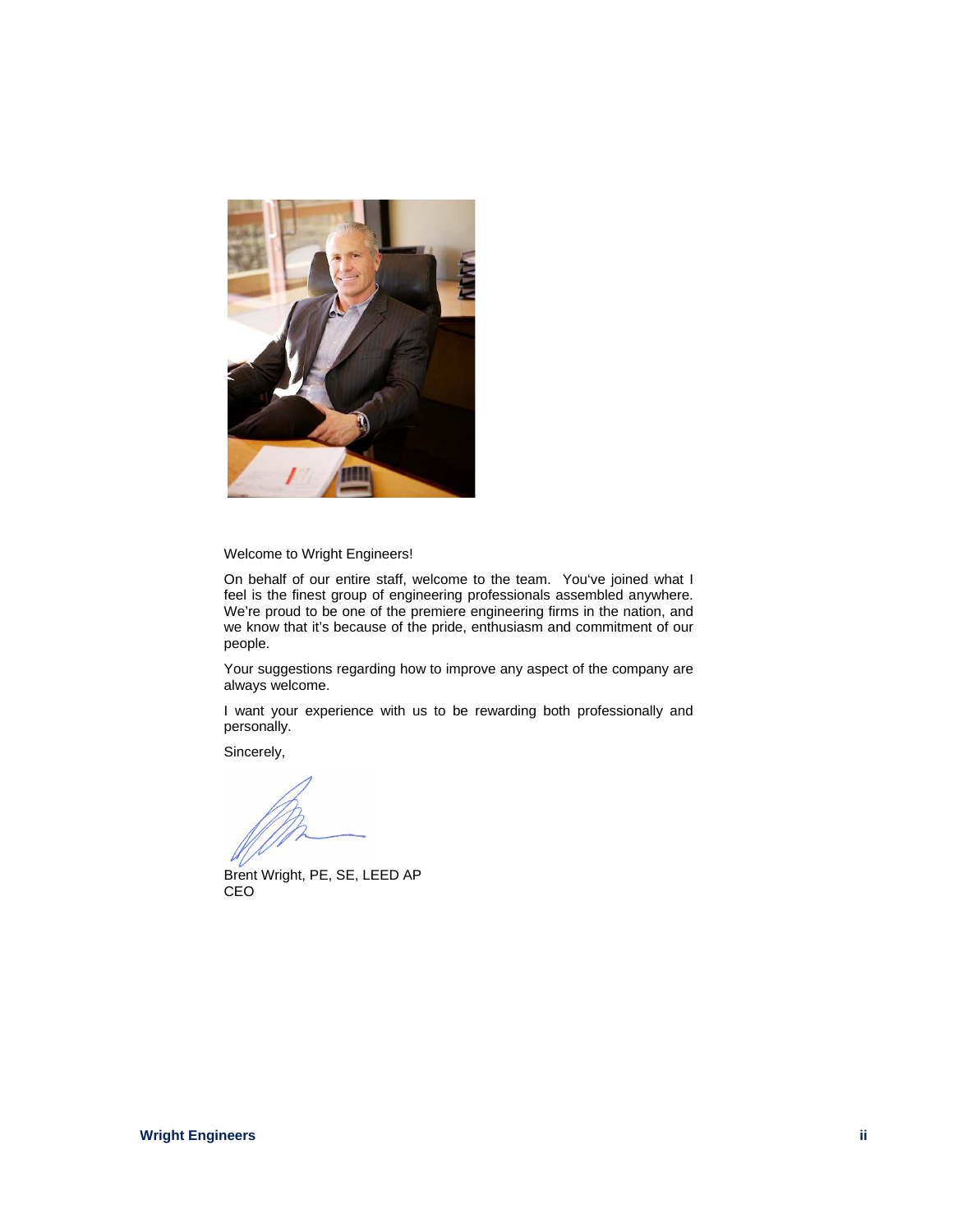

Welcome to Wright Engineers!

On behalf of our entire staff, welcome to the team. You've joined what I feel is the finest group of engineering professionals assembled anywhere. We're proud to be one of the premiere engineering firms in the nation, and we know that it's because of the pride, enthusiasm and commitment of our people.

Your suggestions regarding how to improve any aspect of the company are always welcome.

I want your experience with us to be rewarding both professionally and personally.

Sincerely,

Brent Wright, PE, SE, LEED AP CEO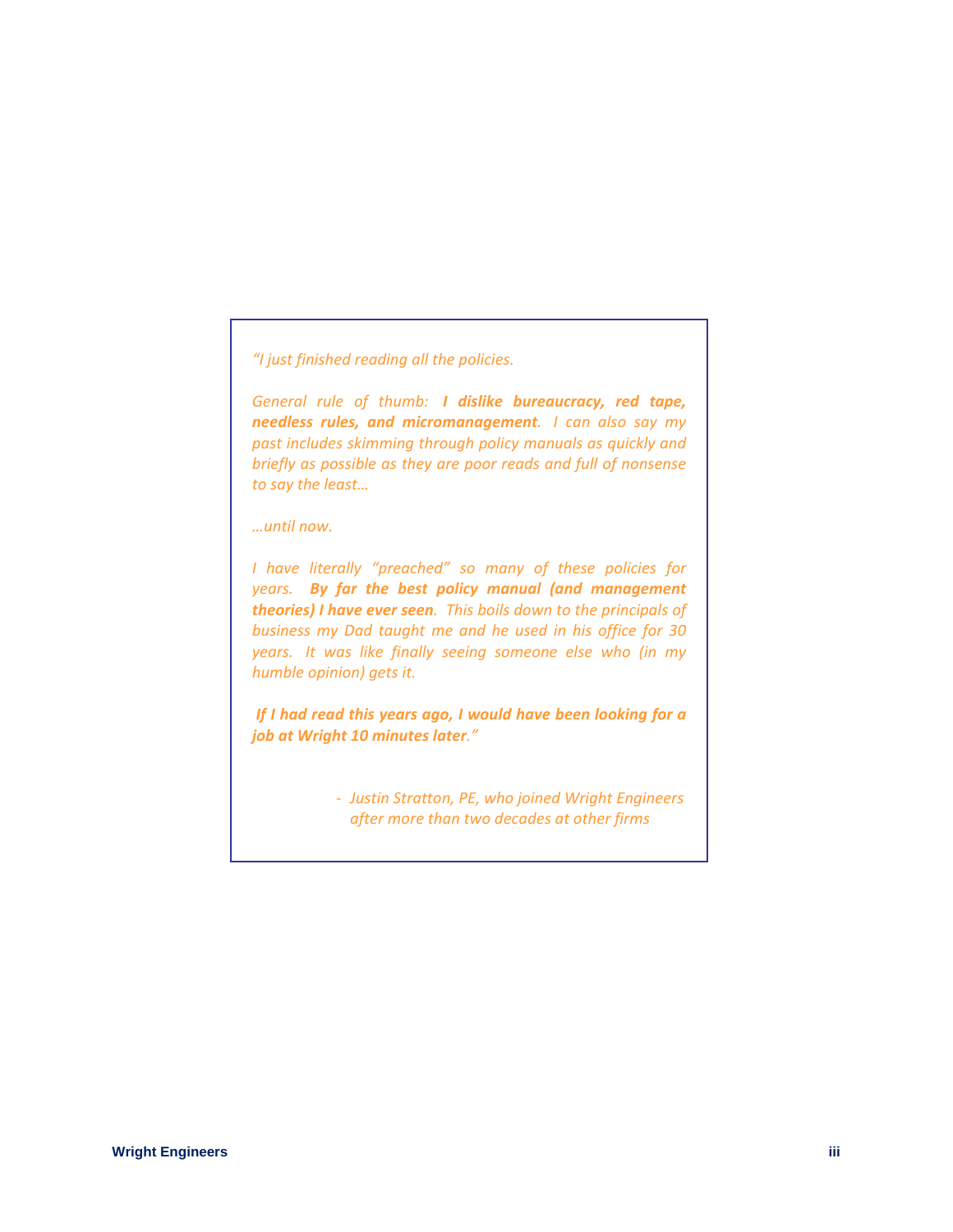*"I just finished reading all the policies.*

*General rule of thumb: I dislike bureaucracy, red tape, needless rules, and micromanagement. I can also say my past includes skimming through policy manuals as quickly and briefly as possible as they are poor reads and full of nonsense to say the least…*

*…until now.*

*I have literally "preached" so many of these policies for years. By far the best policy manual (and management theories) I have ever seen. This boils down to the principals of business my Dad taught me and he used in his office for 30 years. It was like finally seeing someone else who (in my humble opinion) gets it.* 

*If I had read this years ago, I would have been looking for a job at Wright 10 minutes later."*

> - *Justin Stratton, PE, who joined Wright Engineers after more than two decades at other firms*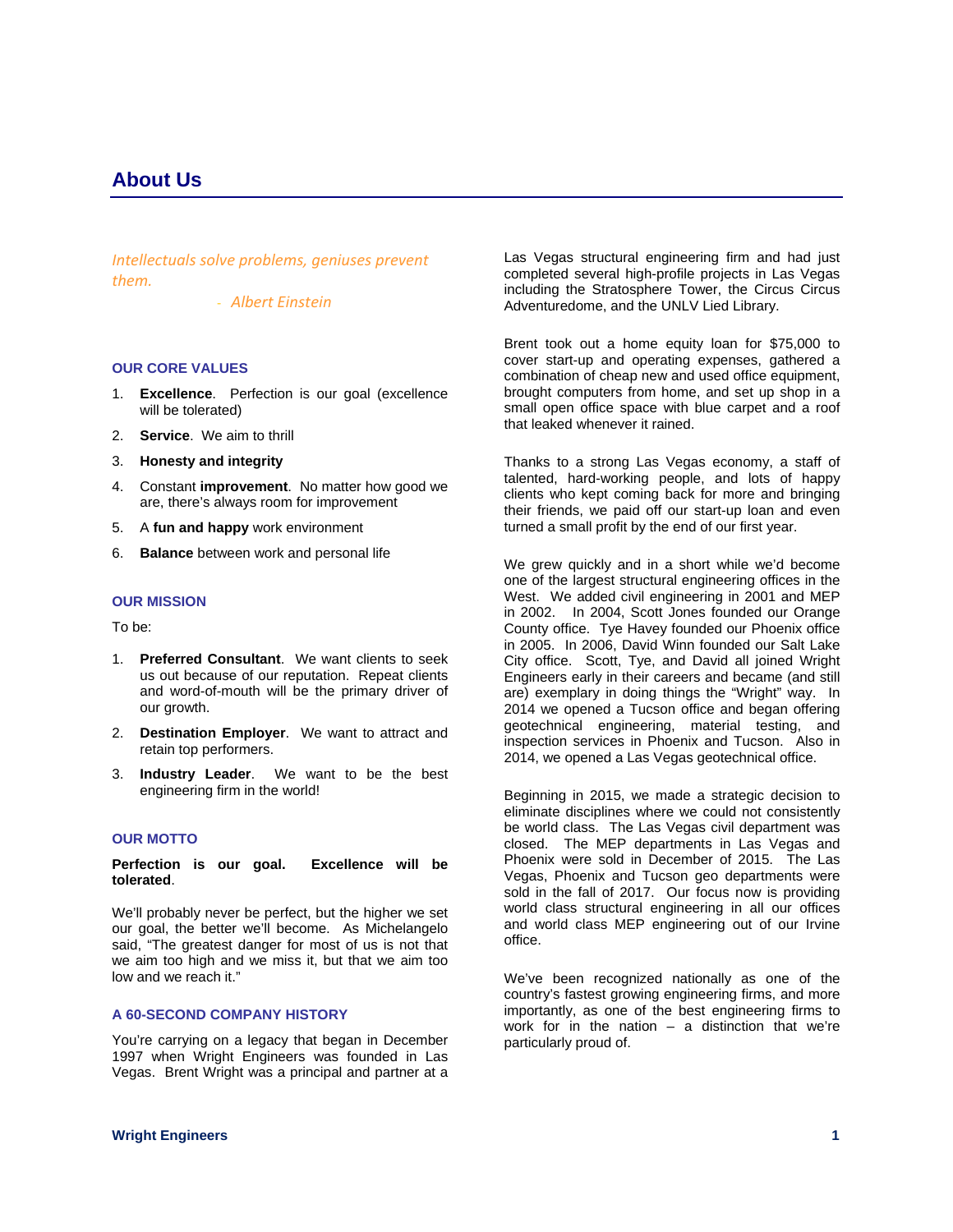*Intellectuals solve problems, geniuses prevent them.*

- *Albert Einstein*

# **OUR CORE VALUES**

- 1. **Excellence**. Perfection is our goal (excellence will be tolerated)
- 2. **Service**. We aim to thrill
- 3. **Honesty and integrity**
- 4. Constant **improvement**. No matter how good we are, there's always room for improvement
- 5. A **fun and happy** work environment
- 6. **Balance** between work and personal life

### **OUR MISSION**

To be:

- 1. **Preferred Consultant**. We want clients to seek us out because of our reputation. Repeat clients and word-of-mouth will be the primary driver of our growth.
- 2. **Destination Employer**. We want to attract and retain top performers.
- 3. **Industry Leader**. We want to be the best engineering firm in the world!

# **OUR MOTTO**

**Perfection is our goal. Excellence will be tolerated**.

We'll probably never be perfect, but the higher we set our goal, the better we'll become. As Michelangelo said, "The greatest danger for most of us is not that we aim too high and we miss it, but that we aim too low and we reach it."

### **A 60-SECOND COMPANY HISTORY**

You're carrying on a legacy that began in December 1997 when Wright Engineers was founded in Las Vegas. Brent Wright was a principal and partner at a

Las Vegas structural engineering firm and had just completed several high-profile projects in Las Vegas including the Stratosphere Tower, the Circus Circus Adventuredome, and the UNLV Lied Library.

Brent took out a home equity loan for \$75,000 to cover start-up and operating expenses, gathered a combination of cheap new and used office equipment, brought computers from home, and set up shop in a small open office space with blue carpet and a roof that leaked whenever it rained.

Thanks to a strong Las Vegas economy, a staff of talented, hard-working people, and lots of happy clients who kept coming back for more and bringing their friends, we paid off our start-up loan and even turned a small profit by the end of our first year.

We grew quickly and in a short while we'd become one of the largest structural engineering offices in the West. We added civil engineering in 2001 and MEP in 2002. In 2004, Scott Jones founded our Orange County office. Tye Havey founded our Phoenix office in 2005. In 2006, David Winn founded our Salt Lake City office. Scott, Tye, and David all joined Wright Engineers early in their careers and became (and still are) exemplary in doing things the "Wright" way. In 2014 we opened a Tucson office and began offering geotechnical engineering, material testing, and inspection services in Phoenix and Tucson. Also in 2014, we opened a Las Vegas geotechnical office.

Beginning in 2015, we made a strategic decision to eliminate disciplines where we could not consistently be world class. The Las Vegas civil department was closed. The MEP departments in Las Vegas and Phoenix were sold in December of 2015. The Las Vegas, Phoenix and Tucson geo departments were sold in the fall of 2017. Our focus now is providing world class structural engineering in all our offices and world class MEP engineering out of our Irvine office.

We've been recognized nationally as one of the country's fastest growing engineering firms, and more importantly, as one of the best engineering firms to work for in the nation  $-$  a distinction that we're particularly proud of.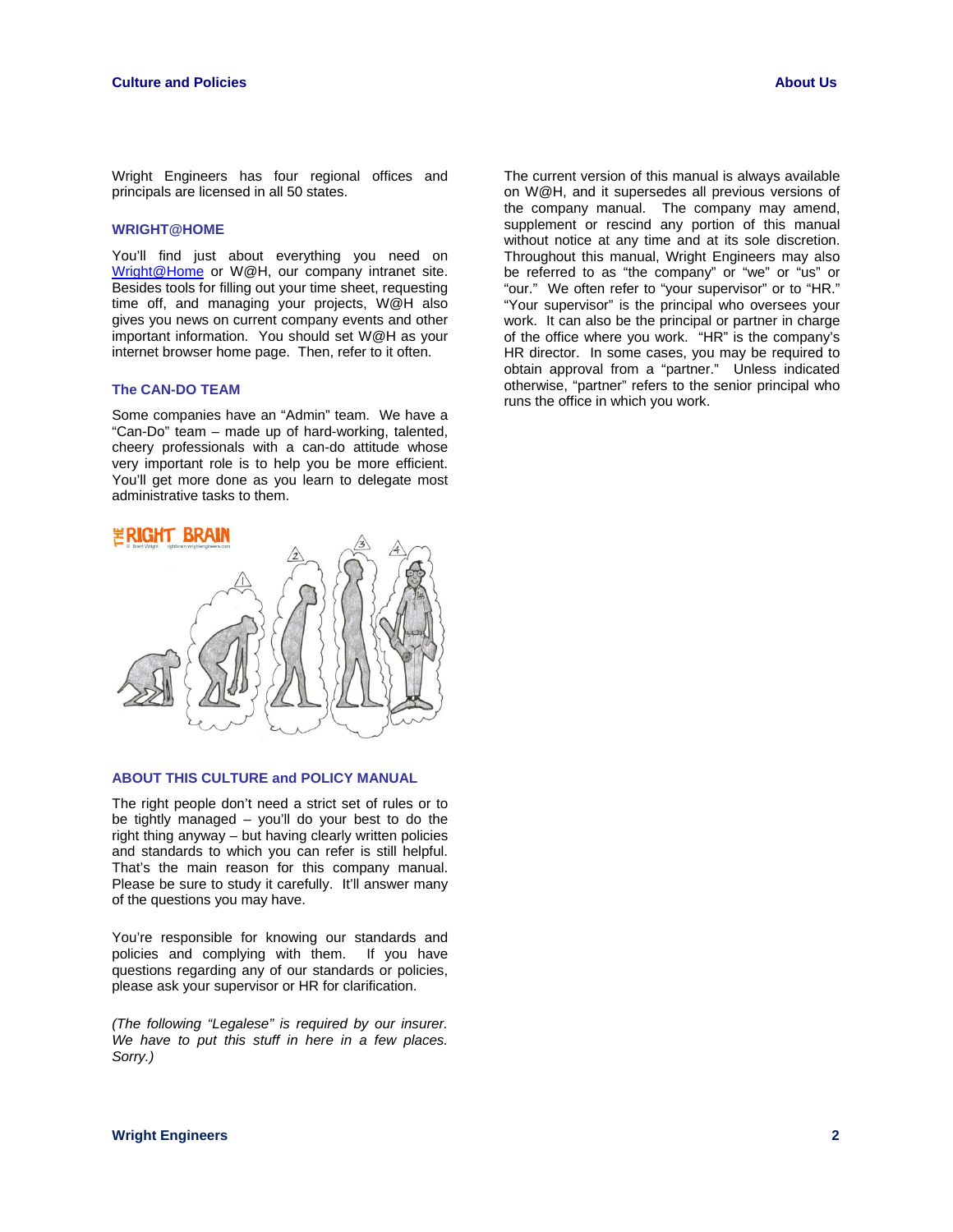Wright Engineers has four regional offices and principals are licensed in all 50 states.

### **WRIGHT@HOME**

You'll find just about everything you need on [Wright@Home](http://database.net/Admin/wright_at_home/index.cfm) or W@H, our company intranet site. Besides tools for filling out your time sheet, requesting time off, and managing your projects, W@H also gives you news on current company events and other important information. You should set W@H as your internet browser home page. Then, refer to it often.

### **The CAN-DO TEAM**

Some companies have an "Admin" team. We have a "Can-Do" team – made up of hard-working, talented, cheery professionals with a can-do attitude whose very important role is to help you be more efficient. You'll get more done as you learn to delegate most administrative tasks to them.

# **GHT BRAIN**



# **ABOUT THIS CULTURE and POLICY MANUAL**

The right people don't need a strict set of rules or to be tightly managed – you'll do your best to do the right thing anyway – but having clearly written policies and standards to which you can refer is still helpful. That's the main reason for this company manual. Please be sure to study it carefully. It'll answer many of the questions you may have.

You're responsible for knowing our standards and policies and complying with them. If you have questions regarding any of our standards or policies, please ask your supervisor or HR for clarification.

*(The following "Legalese" is required by our insurer. We have to put this stuff in here in a few places. Sorry.)* 

The current version of this manual is always available on W@H, and it supersedes all previous versions of the company manual. The company may amend, supplement or rescind any portion of this manual without notice at any time and at its sole discretion. Throughout this manual, Wright Engineers may also be referred to as "the company" or "we" or "us" or "our." We often refer to "your supervisor" or to "HR." "Your supervisor" is the principal who oversees your work. It can also be the principal or partner in charge of the office where you work. "HR" is the company's HR director. In some cases, you may be required to obtain approval from a "partner." Unless indicated otherwise, "partner" refers to the senior principal who runs the office in which you work.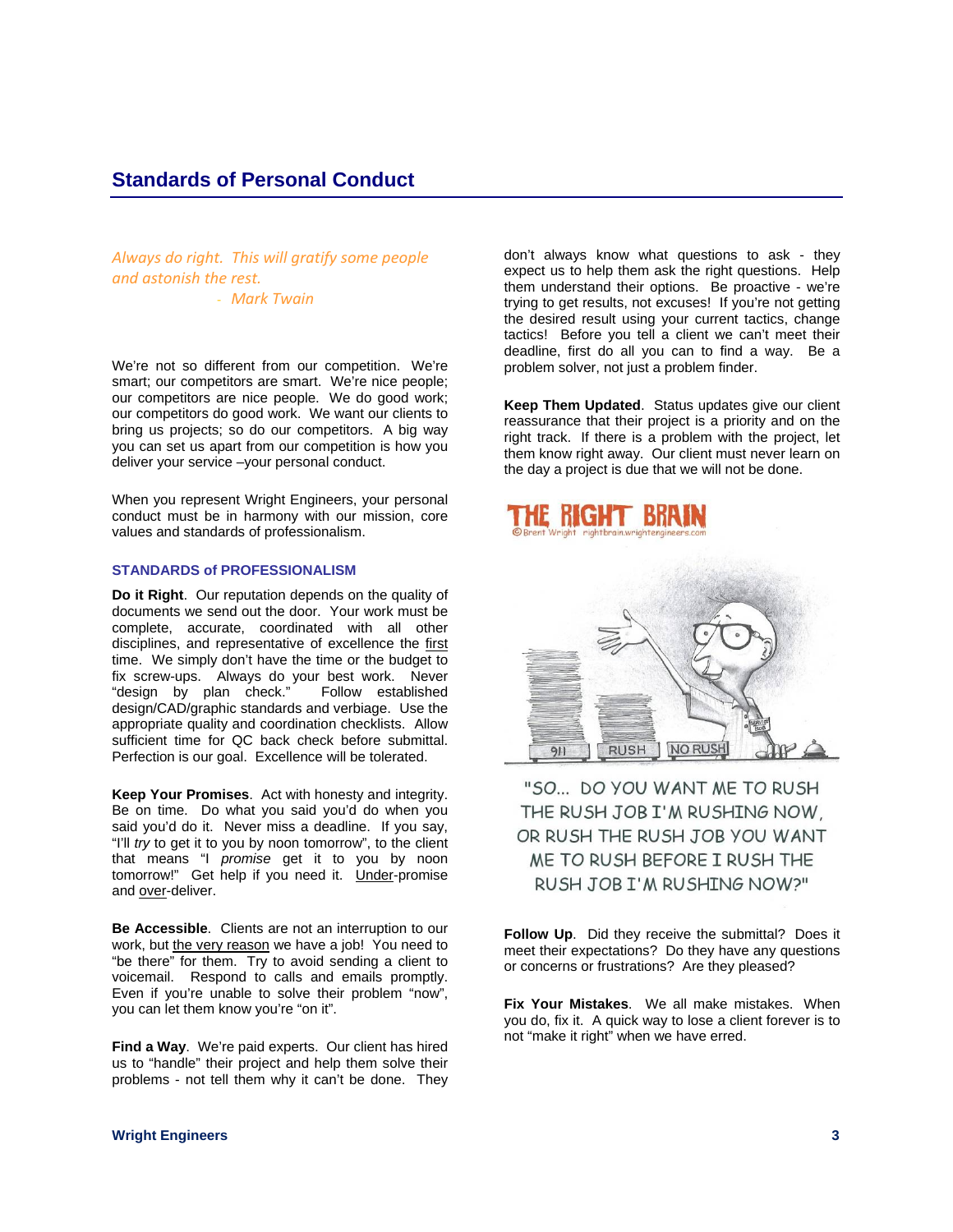*Always do right. This will gratify some people and astonish the rest.*

- *Mark Twain*

We're not so different from our competition. We're smart; our competitors are smart. We're nice people; our competitors are nice people. We do good work; our competitors do good work. We want our clients to bring us projects; so do our competitors. A big way you can set us apart from our competition is how you deliver your service –your personal conduct.

When you represent Wright Engineers, your personal conduct must be in harmony with our mission, core values and standards of professionalism.

### **STANDARDS of PROFESSIONALISM**

**Do it Right**. Our reputation depends on the quality of documents we send out the door. Your work must be complete, accurate, coordinated with all other disciplines, and representative of excellence the first time. We simply don't have the time or the budget to fix screw-ups. Always do your best work. Never<br>"design by plan check." Follow established "design by plan check." design/CAD/graphic standards and verbiage. Use the appropriate quality and coordination checklists. Allow sufficient time for QC back check before submittal. Perfection is our goal. Excellence will be tolerated.

**Keep Your Promises**. Act with honesty and integrity. Be on time. Do what you said you'd do when you said you'd do it. Never miss a deadline. If you say, "I'll *try* to get it to you by noon tomorrow", to the client that means "I *promise* get it to you by noon tomorrow!" Get help if you need it. Under-promise and over-deliver.

**Be Accessible**. Clients are not an interruption to our work, but the very reason we have a job! You need to "be there" for them. Try to avoid sending a client to voicemail. Respond to calls and emails promptly. Even if you're unable to solve their problem "now", you can let them know you're "on it".

**Find a Way.** We're paid experts. Our client has hired us to "handle" their project and help them solve their problems - not tell them why it can't be done. They

don't always know what questions to ask - they expect us to help them ask the right questions. Help them understand their options. Be proactive - we're trying to get results, not excuses! If you're not getting the desired result using your current tactics, change tactics! Before you tell a client we can't meet their deadline, first do all you can to find a way. Be a problem solver, not just a problem finder.

**Keep Them Updated**. Status updates give our client reassurance that their project is a priority and on the right track. If there is a problem with the project, let them know right away. Our client must never learn on the day a project is due that we will not be done.



"SO... DO YOU WANT ME TO RUSH THE RUSH JOB I'M RUSHING NOW, OR RUSH THE RUSH JOB YOU WANT ME TO RUSH BEFORE I RUSH THE RUSH JOB I'M RUSHING NOW?"

**Follow Up**. Did they receive the submittal? Does it meet their expectations? Do they have any questions or concerns or frustrations? Are they pleased?

**Fix Your Mistakes**. We all make mistakes. When you do, fix it. A quick way to lose a client forever is to not "make it right" when we have erred.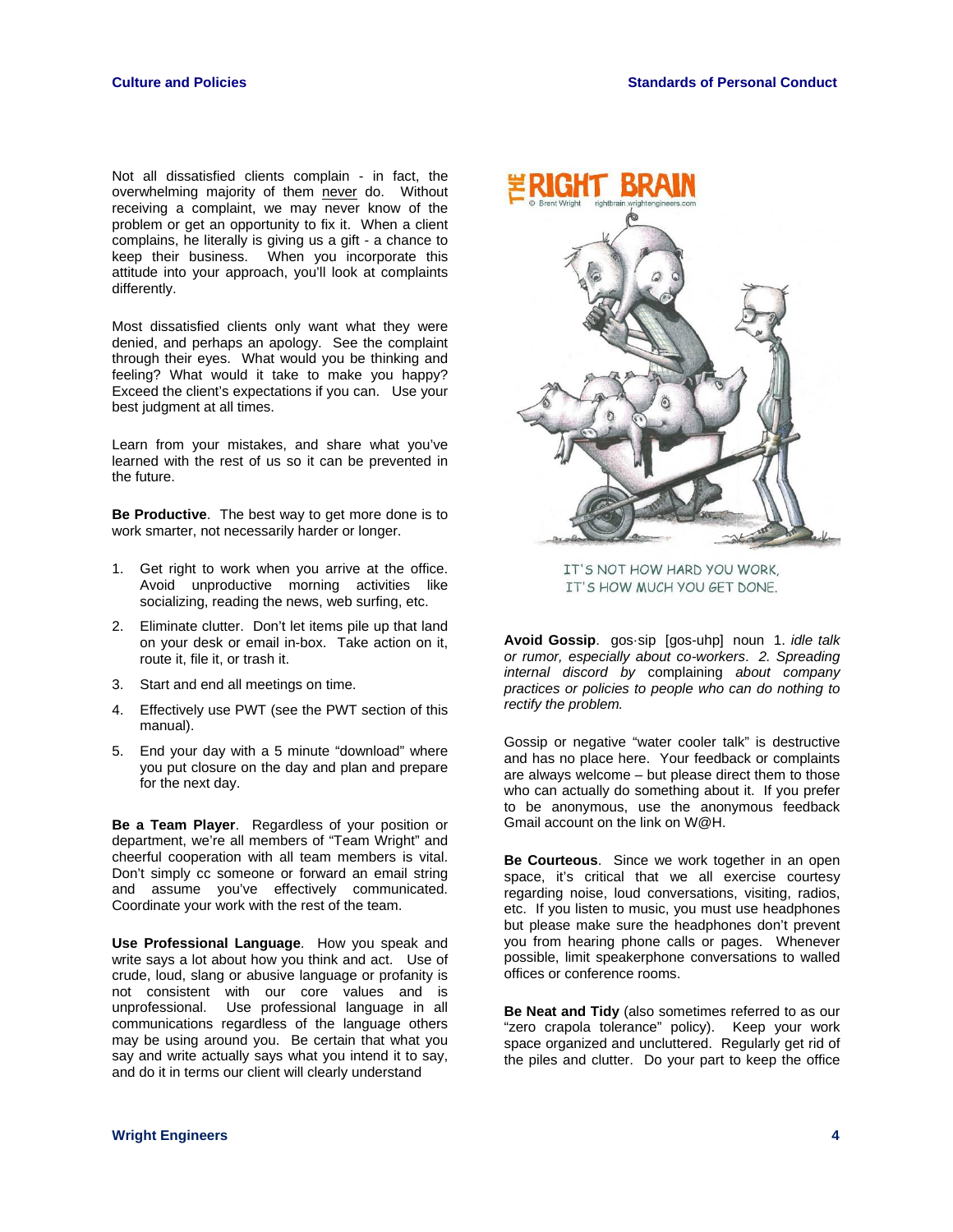Not all dissatisfied clients complain - in fact, the overwhelming majority of them never do. Without receiving a complaint, we may never know of the problem or get an opportunity to fix it. When a client complains, he literally is giving us a gift - a chance to keep their business. When you incorporate this attitude into your approach, you'll look at complaints differently.

Most dissatisfied clients only want what they were denied, and perhaps an apology. See the complaint through their eyes. What would you be thinking and feeling? What would it take to make you happy? Exceed the client's expectations if you can. Use your best judgment at all times.

Learn from your mistakes, and share what you've learned with the rest of us so it can be prevented in the future.

**Be Productive**. The best way to get more done is to work smarter, not necessarily harder or longer.

- 1. Get right to work when you arrive at the office. Avoid unproductive morning activities like socializing, reading the news, web surfing, etc.
- 2. Eliminate clutter. Don't let items pile up that land on your desk or email in-box. Take action on it, route it, file it, or trash it.
- 3. Start and end all meetings on time.
- 4. Effectively use PWT (see the PWT section of this manual).
- 5. End your day with a 5 minute "download" where you put closure on the day and plan and prepare for the next day.

**Be a Team Player**. Regardless of your position or department, we're all members of "Team Wright" and cheerful cooperation with all team members is vital. Don't simply cc someone or forward an email string and assume you've effectively communicated. Coordinate your work with the rest of the team.

**Use Professional Language**. How you speak and write says a lot about how you think and act. Use of crude, loud, slang or abusive language or profanity is not consistent with our core values and is unprofessional. Use professional language in all communications regardless of the language others may be using around you. Be certain that what you say and write actually says what you intend it to say, and do it in terms our client will clearly understand



IT'S NOT HOW HARD YOU WORK, IT'S HOW MUCH YOU GET DONE.

**Avoid Gossip**. gos·sip [gos-uhp] noun 1. *idle talk or rumor, especially about co-workers*. *2. Spreading internal discord by* complaining *about company practices or policies to people who can do nothing to rectify the problem.*

Gossip or negative "water cooler talk" is destructive and has no place here. Your feedback or complaints are always welcome – but please direct them to those who can actually do something about it. If you prefer to be anonymous, use the anonymous feedback Gmail account on the link on W@H.

**Be Courteous**. Since we work together in an open space, it's critical that we all exercise courtesy regarding noise, loud conversations, visiting, radios, etc. If you listen to music, you must use headphones but please make sure the headphones don't prevent you from hearing phone calls or pages. Whenever possible, limit speakerphone conversations to walled offices or conference rooms.

**Be Neat and Tidy** (also sometimes referred to as our "zero crapola tolerance" policy). Keep your work space organized and uncluttered. Regularly get rid of the piles and clutter. Do your part to keep the office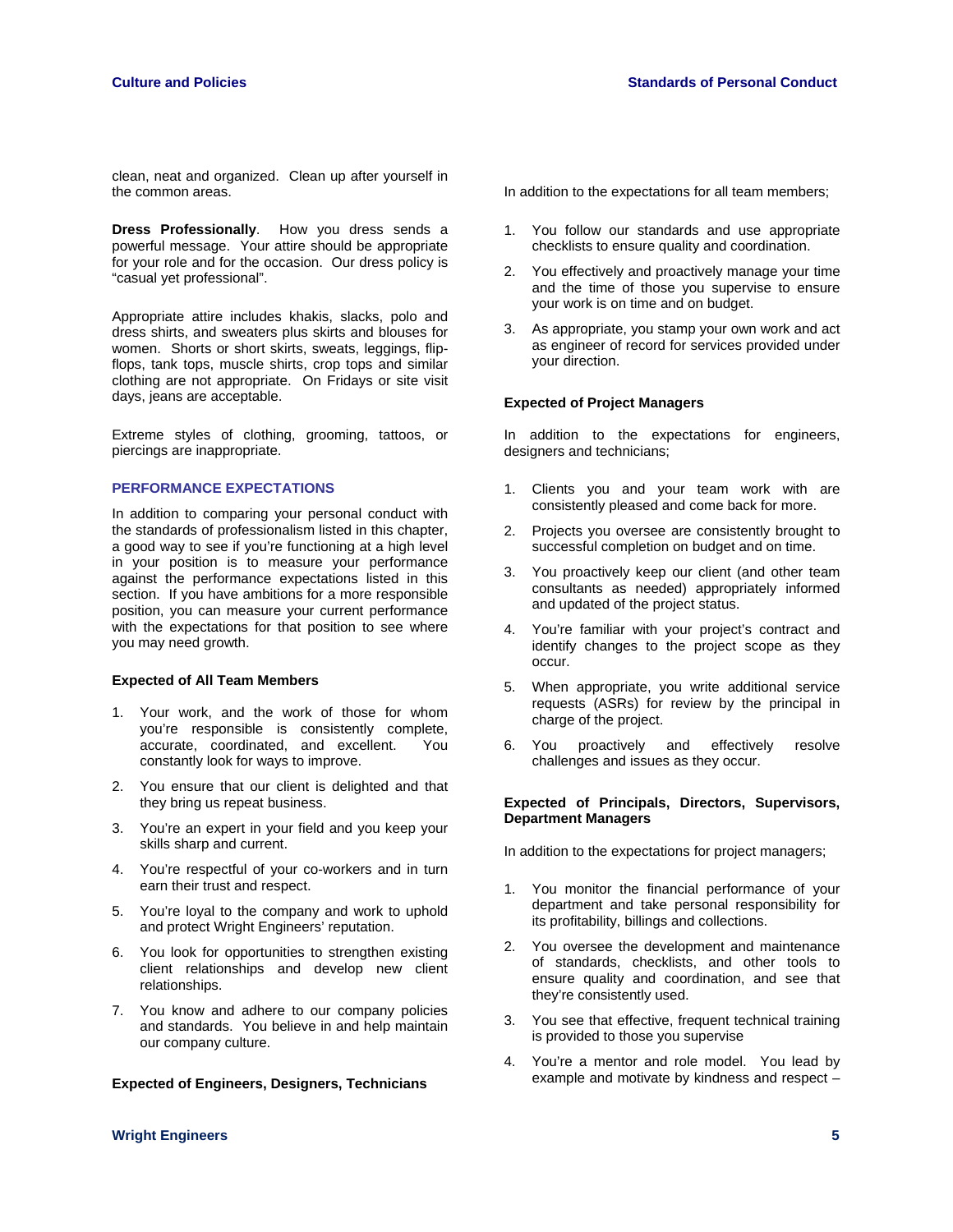clean, neat and organized. Clean up after yourself in the common areas.

**Dress Professionally**. How you dress sends a powerful message. Your attire should be appropriate for your role and for the occasion. Our dress policy is "casual yet professional".

Appropriate attire includes khakis, slacks, polo and dress shirts, and sweaters plus skirts and blouses for women. Shorts or short skirts, sweats, leggings, flipflops, tank tops, muscle shirts, crop tops and similar clothing are not appropriate. On Fridays or site visit days, jeans are acceptable.

Extreme styles of clothing, grooming, tattoos, or piercings are inappropriate.

# **PERFORMANCE EXPECTATIONS**

In addition to comparing your personal conduct with the standards of professionalism listed in this chapter, a good way to see if you're functioning at a high level in your position is to measure your performance against the performance expectations listed in this section. If you have ambitions for a more responsible position, you can measure your current performance with the expectations for that position to see where you may need growth.

### **Expected of All Team Members**

- 1. Your work, and the work of those for whom you're responsible is consistently complete, accurate, coordinated, and excellent. You constantly look for ways to improve.
- 2. You ensure that our client is delighted and that they bring us repeat business.
- 3. You're an expert in your field and you keep your skills sharp and current.
- 4. You're respectful of your co-workers and in turn earn their trust and respect.
- 5. You're loyal to the company and work to uphold and protect Wright Engineers' reputation.
- 6. You look for opportunities to strengthen existing client relationships and develop new client relationships.
- 7. You know and adhere to our company policies and standards. You believe in and help maintain our company culture.

#### **Expected of Engineers, Designers, Technicians**

In addition to the expectations for all team members;

- 1. You follow our standards and use appropriate checklists to ensure quality and coordination.
- 2. You effectively and proactively manage your time and the time of those you supervise to ensure your work is on time and on budget.
- 3. As appropriate, you stamp your own work and act as engineer of record for services provided under your direction.

### **Expected of Project Managers**

In addition to the expectations for engineers, designers and technicians;

- 1. Clients you and your team work with are consistently pleased and come back for more.
- 2. Projects you oversee are consistently brought to successful completion on budget and on time.
- 3. You proactively keep our client (and other team consultants as needed) appropriately informed and updated of the project status.
- 4. You're familiar with your project's contract and identify changes to the project scope as they occur.
- 5. When appropriate, you write additional service requests (ASRs) for review by the principal in charge of the project.
- 6. You proactively and effectively resolve challenges and issues as they occur.

### **Expected of Principals, Directors, Supervisors, Department Managers**

In addition to the expectations for project managers;

- 1. You monitor the financial performance of your department and take personal responsibility for its profitability, billings and collections.
- 2. You oversee the development and maintenance of standards, checklists, and other tools to ensure quality and coordination, and see that they're consistently used.
- 3. You see that effective, frequent technical training is provided to those you supervise
- 4. You're a mentor and role model. You lead by example and motivate by kindness and respect –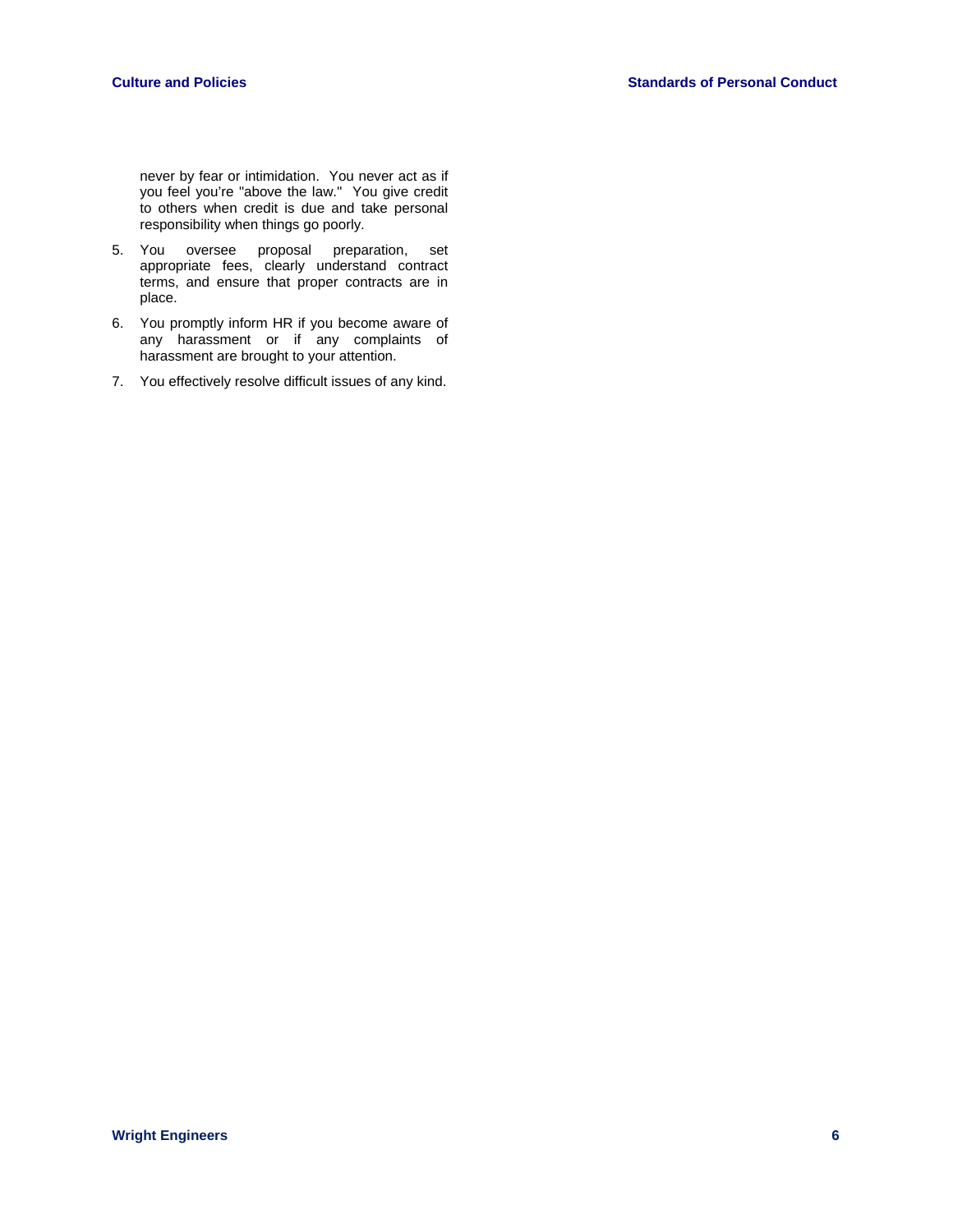never by fear or intimidation. You never act as if you feel you're "above the law." You give credit to others when credit is due and take personal responsibility when things go poorly.

- 5. You oversee proposal preparation, set appropriate fees, clearly understand contract terms, and ensure that proper contracts are in place.
- 6. You promptly inform HR if you become aware of any harassment or if any complaints of harassment are brought to your attention.
- 7. You effectively resolve difficult issues of any kind.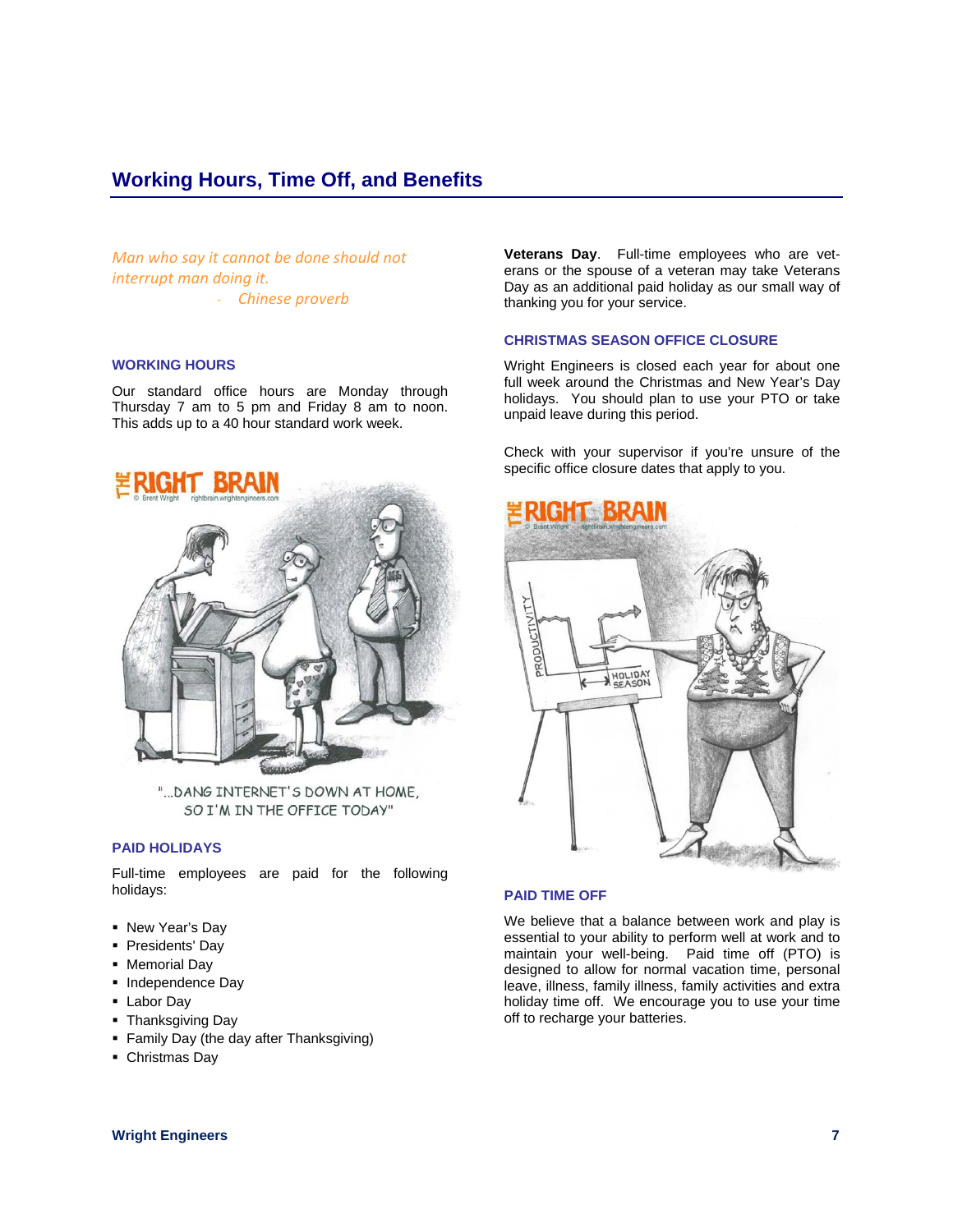# **Working Hours, Time Off, and Benefits**

*Man who say it cannot be done should not interrupt man doing it.* - *Chinese proverb*

### **WORKING HOURS**

Our standard office hours are Monday through Thursday 7 am to 5 pm and Friday 8 am to noon. This adds up to a 40 hour standard work week.



"... DANG INTERNET'S DOWN AT HOME, SO I'M IN THE OFFICE TODAY"

# **PAID HOLIDAYS**

Full-time employees are paid for the following holidays:

- New Year's Day
- **Presidents' Day**
- **Memorial Day**
- Independence Day
- Labor Day
- Thanksgiving Day
- **Family Day (the day after Thanksgiving)**
- Christmas Day

**Veterans Day**. Full-time employees who are veterans or the spouse of a veteran may take Veterans Day as an additional paid holiday as our small way of thanking you for your service.

### **CHRISTMAS SEASON OFFICE CLOSURE**

Wright Engineers is closed each year for about one full week around the Christmas and New Year's Day holidays. You should plan to use your PTO or take unpaid leave during this period.

Check with your supervisor if you're unsure of the specific office closure dates that apply to you.



### **PAID TIME OFF**

We believe that a balance between work and play is essential to your ability to perform well at work and to maintain your well-being. Paid time off (PTO) is designed to allow for normal vacation time, personal leave, illness, family illness, family activities and extra holiday time off. We encourage you to use your time off to recharge your batteries.